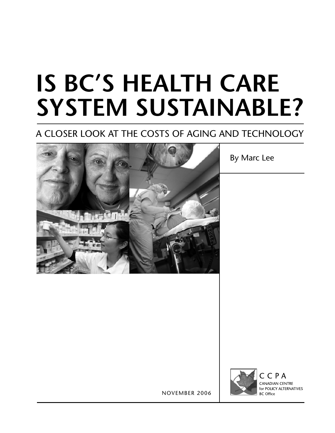# **IS BC's Health Care System sustainabLe?**

## A Closer Look at the costs of Aging and Technology



By Marc Lee



November 2006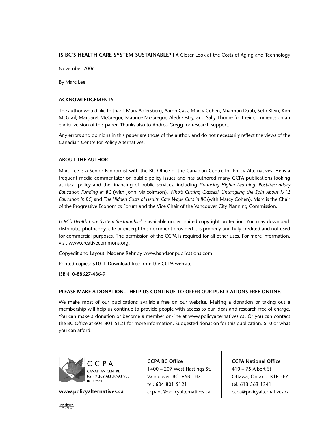#### **IS BC's Health Care System sustainabLe?** | A Closer Look at the Costs of Aging and Technology

November 2006

By Marc Lee

#### **Acknowledgements**

The author would like to thank Mary Adlersberg, Aaron Cass, Marcy Cohen, Shannon Daub, Seth Klein, Kim McGrail, Margaret McGregor, Maurice McGregor, Aleck Ostry, and Sally Thorne for their comments on an earlier version of this paper. Thanks also to Andrea Gregg for research support.

Any errors and opinions in this paper are those of the author, and do not necessarily reflect the views of the Canadian Centre for Policy Alternatives.

#### **About the Author**

Marc Lee is a Senior Economist with the BC Office of the Canadian Centre for Policy Alternatives. He is a frequent media commentator on public policy issues and has authored many CCPA publications looking at fiscal policy and the financing of public services, including *Financing Higher Learning: Post-Secondary Education Funding in BC* (with John Malcolmson), *Who's Cutting Classes? Untangling the Spin About K-12 Education in BC*, and *The Hidden Costs of Health Care Wage Cuts in BC* (with Marcy Cohen). Marc is the Chair of the Progressive Economics Forum and the Vice Chair of the Vancouver City Planning Commission.

*Is BC's Health Care System Sustainable?* is available under limited copyright protection. You may download, distribute, photocopy, cite or excerpt this document provided it is properly and fully credited and not used for commercial purposes. The permission of the CCPA is required for all other uses. For more information, visit www.creativecommons.org.

Copyedit and Layout: Nadene Rehnby www.handsonpublications.com

Printed copies: \$10 | Download free from the CCPA website

ISBN: 0-88627-486-9

#### **PLEASE MAKE A DONATION... HELP US CONTINUE TO OFFER OUR PUBLICATIONS FREE ONLINE.**

We make most of our publications available free on our website. Making a donation or taking out a membership will help us continue to provide people with access to our ideas and research free of charge. You can make a donation or become a member on-line at www.policyalternatives.ca. Or you can contact the BC Office at 604-801-5121 for more information. Suggested donation for this publication: \$10 or what you can afford.



**www.policyalternatives.ca**

**CCPA BC Office** 1400 – 207 West Hastings St. Vancouver, BC V6B 1H7 tel: 604-801-5121 ccpabc@policyalternatives.ca

**CCPA National Office** 410 – 75 Albert St Ottawa, Ontario K1P 5E7 tel: 613-563-1341 ccpa@policyalternatives.ca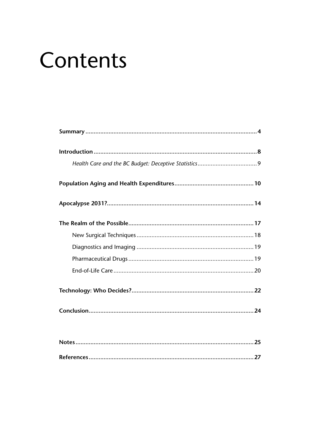# Contents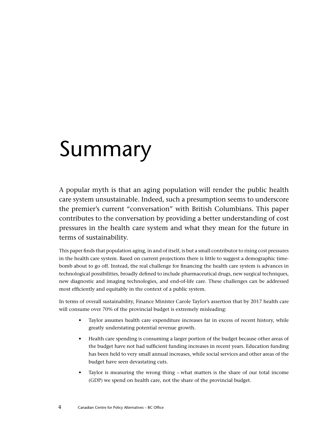## Summary

A popular myth is that an aging population will render the public health care system unsustainable. Indeed, such a presumption seems to underscore the premier's current "conversation" with British Columbians. This paper contributes to the conversation by providing a better understanding of cost pressures in the health care system and what they mean for the future in terms of sustainability.

This paper finds that population aging, in and of itself, is but a small contributor to rising cost pressures in the health care system. Based on current projections there is little to suggest a demographic timebomb about to go off. Instead, the real challenge for financing the health care system is advances in technological possibilities, broadly defined to include pharmaceutical drugs, new surgical techniques, new diagnostic and imaging technologies, and end-of-life care. These challenges can be addressed most efficiently and equitably in the context of a public system.

In terms of overall sustainability, Finance Minister Carole Taylor's assertion that by 2017 health care will consume over 70% of the provincial budget is extremely misleading:

- Taylor assumes health care expenditure increases far in excess of recent history, while greatly understating potential revenue growth.
- Health care spending is consuming a larger portion of the budget because other areas of the budget have not had sufficient funding increases in recent years. Education funding has been held to very small annual increases, while social services and other areas of the budget have seen devastating cuts.
- Taylor is measuring the wrong thing what matters is the share of our total income (GDP) we spend on health care, not the share of the provincial budget.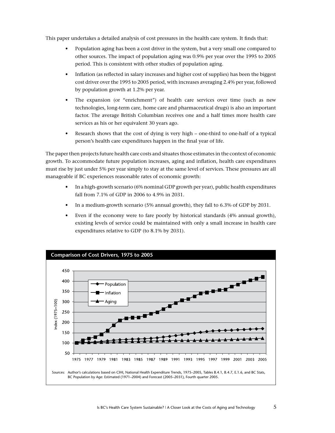This paper undertakes a detailed analysis of cost pressures in the health care system. It finds that:

- Population aging has been a cost driver in the system, but a very small one compared to other sources. The impact of population aging was 0.9% per year over the 1995 to 2005 period. This is consistent with other studies of population aging.
- Inflation (as reflected in salary increases and higher cost of supplies) has been the biggest cost driver over the 1995 to 2005 period, with increases averaging 2.4% per year, followed by population growth at 1.2% per year.
- The expansion (or "enrichment") of health care services over time (such as new technologies, long-term care, home care and pharmaceutical drugs) is also an important factor. The average British Columbian receives one and a half times more health care services as his or her equivalent 30 years ago.
- Research shows that the cost of dying is very high one-third to one-half of a typical person's health care expenditures happen in the final year of life.

The paper then projects future health care costs and situates those estimates in the context of economic growth. To accommodate future population increases, aging and inflation, health care expenditures must rise by just under 5% per year simply to stay at the same level of services. These pressures are all manageable if BC experiences reasonable rates of economic growth:

- In a high-growth scenario (6% nominal GDP growth per year), public health expenditures fall from 7.1% of GDP in 2006 to 4.9% in 2031.
- In a medium-growth scenario (5% annual growth), they fall to 6.3% of GDP by 2031.
- Even if the economy were to fare poorly by historical standards (4% annual growth), existing levels of service could be maintained with only a small increase in health care expenditures relative to GDP (to 8.1% by 2031).

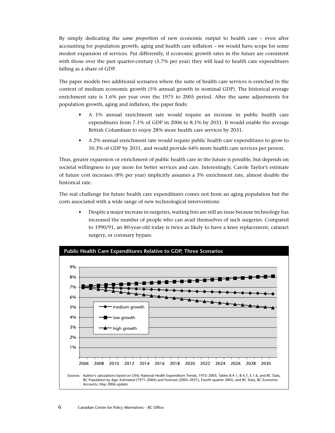By simply dedicating the *same proportio*n of new economic output to health care – even after accounting for population growth, aging and health care inflation – we would have scope for some modest expansion of services. Put differently, if economic growth rates in the future are consistent with those over the past quarter-century (5.7% per year) they will lead to health care expenditures falling as a share of GDP.

The paper models two additional scenarios where the suite of health care services is enriched in the context of medium economic growth (5% annual growth in nominal GDP). The historical average enrichment rate is 1.6% per year over the 1975 to 2005 period. After the same adjustments for population growth, aging and inflation, the paper finds:

- A 1% annual enrichment rate would require an increase in public health care expenditures from 7.1% of GDP in 2006 to 8.1% by 2031. It would enable the average British Columbian to enjoy 28% more health care services by 2031.
- A 2% annual enrichment rate would require public health care expenditures to grow to 10.3% of GDP by 2031, and would provide 64% more health care services per person.

Thus, greater expansion or enrichment of public health care in the future is possible, but depends on societal willingness to pay more for better services and care. Interestingly, Carole Taylor's estimate of future cost increases (8% per year) implicitly assumes a 3% enrichment rate, almost double the historical rate.

The real challenge for future health care expenditures comes not from an aging population but the costs associated with a wide range of new technological interventions:

• Despite a major increase in surgeries, waiting lists are still an issue because technology has increased the number of people who can avail themselves of such surgeries. Compared to 1990/91, an 80-year-old today is twice as likely to have a knee replacement, cataract surgery, or coronary bypass.

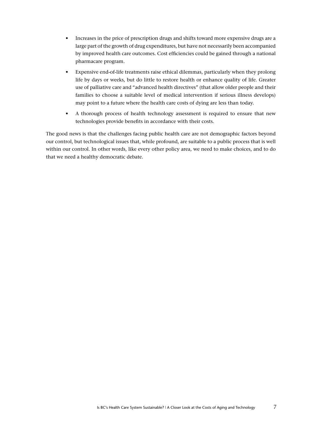- Increases in the price of prescription drugs and shifts toward more expensive drugs are a large part of the growth of drug expenditures, but have not necessarily been accompanied by improved health care outcomes. Cost efficiencies could be gained through a national pharmacare program.
- Expensive end-of-life treatments raise ethical dilemmas, particularly when they prolong life by days or weeks, but do little to restore health or enhance quality of life. Greater use of palliative care and "advanced health directives" (that allow older people and their families to choose a suitable level of medical intervention if serious illness develops) may point to a future where the health care costs of dying are less than today.
- A thorough process of health technology assessment is required to ensure that new technologies provide benefits in accordance with their costs.

The good news is that the challenges facing public health care are not demographic factors beyond our control, but technological issues that, while profound, are suitable to a public process that is well within our control. In other words, like every other policy area, we need to make choices, and to do that we need a healthy democratic debate.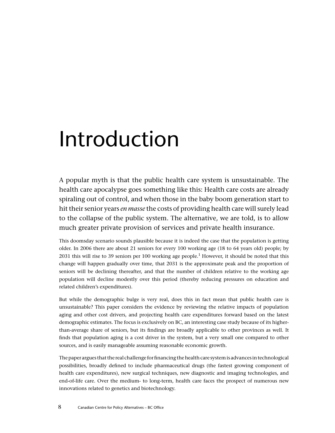# Introduction

A popular myth is that the public health care system is unsustainable. The health care apocalypse goes something like this: Health care costs are already spiraling out of control, and when those in the baby boom generation start to hit their senior years *en masse* the costs of providing health care will surely lead to the collapse of the public system. The alternative, we are told, is to allow much greater private provision of services and private health insurance.

This doomsday scenario sounds plausible because it is indeed the case that the population is getting older. In 2006 there are about 21 seniors for every 100 working age (18 to 64 years old) people; by 2031 this will rise to 39 seniors per 100 working age people.<sup>1</sup> However, it should be noted that this change will happen gradually over time, that 2031 is the approximate peak and the proportion of seniors will be declining thereafter, and that the number of children relative to the working age population will decline modestly over this period (thereby reducing pressures on education and related children's expenditures).

But while the demographic bulge is very real, does this in fact mean that public health care is unsustainable? This paper considers the evidence by reviewing the relative impacts of population aging and other cost drivers, and projecting health care expenditures forward based on the latest demographic estimates. The focus is exclusively on BC, an interesting case study because of its higherthan-average share of seniors, but its findings are broadly applicable to other provinces as well. It finds that population aging is a cost driver in the system, but a very small one compared to other sources, and is easily manageable assuming reasonable economic growth.

The paper argues that the real challenge for financing the health care system is advances in technological possibilities, broadly defined to include pharmaceutical drugs (the fastest growing component of health care expenditures), new surgical techniques, new diagnostic and imaging technologies, and end-of-life care. Over the medium- to long-term, health care faces the prospect of numerous new innovations related to genetics and biotechnology.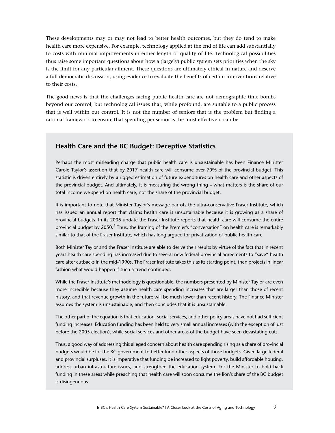These developments may or may not lead to better health outcomes, but they do tend to make health care more expensive. For example, technology applied at the end of life can add substantially to costs with minimal improvements in either length or quality of life. Technological possibilities thus raise some important questions about how a (largely) public system sets priorities when the sky is the limit for any particular ailment. These questions are ultimately ethical in nature and deserve a full democratic discussion, using evidence to evaluate the benefits of certain interventions relative to their costs.

The good news is that the challenges facing public health care are not demographic time bombs beyond our control, but technological issues that, while profound, are suitable to a public process that is well within our control. It is not the number of seniors that is the problem but finding a rational framework to ensure that spending per senior is the most effective it can be.

### **Health Care and the BC Budget: Deceptive Statistics**

Perhaps the most misleading charge that public health care is unsustainable has been Finance Minister Carole Taylor's assertion that by 2017 health care will consume over 70% of the provincial budget. This statistic is driven entirely by a rigged estimation of future expenditures on health care and other aspects of the provincial budget. And ultimately, it is measuring the wrong thing – what matters is the share of our total income we spend on health care, not the share of the provincial budget.

It is important to note that Minister Taylor's message parrots the ultra-conservative Fraser Institute, which has issued an annual report that claims health care is unsustainable because it is growing as a share of provincial budgets. In its 2006 update the Fraser Institute reports that health care will consume the entire provincial budget by 2050.<sup>2</sup> Thus, the framing of the Premier's "conversation" on health care is remarkably similar to that of the Fraser Institute, which has long argued for privatization of public health care.

Both Minister Taylor and the Fraser Institute are able to derive their results by virtue of the fact that in recent years health care spending has increased due to several new federal-provincial agreements to "save" health care after cutbacks in the mid-1990s. The Fraser Institute takes this as its starting point, then projects in linear fashion what would happen if such a trend continued.

While the Fraser Institute's methodology is questionable, the numbers presented by Minister Taylor are even more incredible because they assume health care spending increases that are larger than those of recent history, and that revenue growth in the future will be much lower than recent history. The Finance Minister assumes the system is unsustainable, and then concludes that it is unsustainable.

The other part of the equation is that education, social services, and other policy areas have not had sufficient funding increases. Education funding has been held to very small annual increases (with the exception of just before the 2005 election), while social services and other areas of the budget have seen devastating cuts.

Thus, a good way of addressing this alleged concern about health care spending rising as a share of provincial budgets would be for the BC government to better fund other aspects of those budgets. Given large federal and provincial surpluses, it is imperative that funding be increased to fight poverty, build affordable housing, address urban infrastructure issues, and strengthen the education system. For the Minister to hold back funding in these areas while preaching that health care will soon consume the lion's share of the BC budget is disingenuous.

9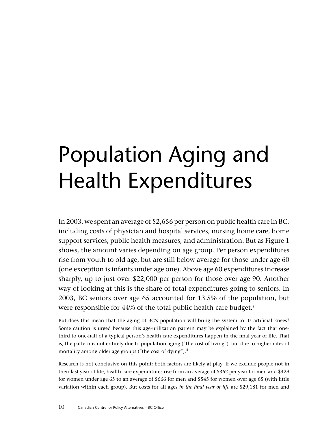# Population Aging and Health Expenditures

In 2003, we spent an average of \$2,656 per person on public health care in BC, including costs of physician and hospital services, nursing home care, home support services, public health measures, and administration. But as Figure 1 shows, the amount varies depending on age group. Per person expenditures rise from youth to old age, but are still below average for those under age 60 (one exception is infants under age one). Above age 60 expenditures increase sharply, up to just over \$22,000 per person for those over age 90. Another way of looking at this is the share of total expenditures going to seniors. In 2003, BC seniors over age 65 accounted for 13.5% of the population, but were responsible for 44% of the total public health care budget.<sup>3</sup>

But does this mean that the aging of BC's population will bring the system to its artificial knees? Some caution is urged because this age-utilization pattern may be explained by the fact that onethird to one-half of a typical person's health care expenditures happen in the final year of life. That is, the pattern is not entirely due to population aging ("the cost of living"), but due to higher rates of mortality among older age groups ("the cost of dying").4

Research is not conclusive on this point: both factors are likely at play. If we exclude people not in their last year of life, health care expenditures rise from an average of \$362 per year for men and \$429 for women under age 65 to an average of \$666 for men and \$545 for women over age 65 (with little variation within each group). But costs for all ages *in the final year of life* are \$29,181 for men and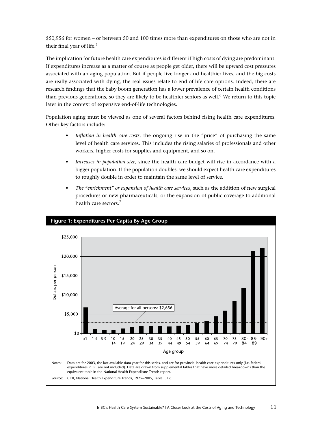\$50,956 for women – or between 50 and 100 times more than expenditures on those who are not in their final year of life.<sup>5</sup>

The implication for future health care expenditures is different if high costs of dying are predominant. If expenditures increase as a matter of course as people get older, there will be upward cost pressures associated with an aging population. But if people live longer and healthier lives, and the big costs are really associated with dying, the real issues relate to end-of-life care options. Indeed, there are research findings that the baby boom generation has a lower prevalence of certain health conditions than previous generations, so they are likely to be healthier seniors as well.<sup>6</sup> We return to this topic later in the context of expensive end-of-life technologies.

Population aging must be viewed as one of several factors behind rising health care expenditures. Other key factors include:

- *• Inflation in health care costs*, the ongoing rise in the "price" of purchasing the same level of health care services. This includes the rising salaries of professionals and other workers, higher costs for supplies and equipment, and so on.
- *• Increases in population size*, since the health care budget will rise in accordance with a bigger population. If the population doubles, we should expect health care expenditures to roughly double in order to maintain the same level of service.
- *• The "enrichment" or expansion of health care services*, such as the addition of new surgical procedures or new pharmaceuticals, or the expansion of public coverage to additional health care sectors.7

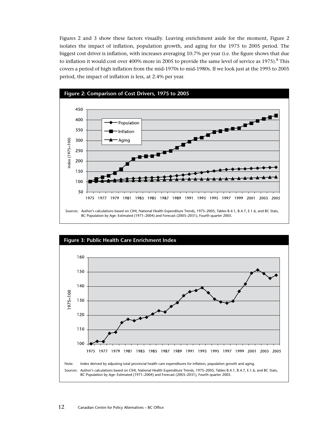Figures 2 and 3 show these factors visually. Leaving enrichment aside for the moment, Figure 2 isolates the impact of inflation, population growth, and aging for the 1975 to 2005 period. The biggest cost driver is inflation, with increases averaging 10.7% per year (i.e. the figure shows that due to inflation it would cost over 400% more in 2005 to provide the same level of service as 1975).<sup>8</sup> This covers a period of high inflation from the mid-1970s to mid-1980s. If we look just at the 1995 to 2005 period, the impact of inflation is less, at 2.4% per year.



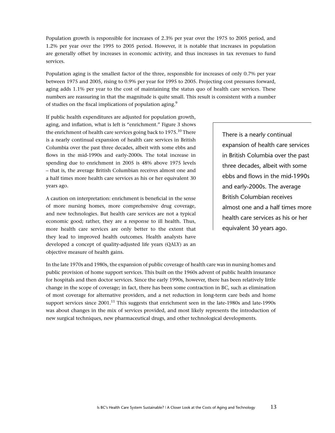Population growth is responsible for increases of 2.3% per year over the 1975 to 2005 period, and 1.2% per year over the 1995 to 2005 period. However, it is notable that increases in population are generally offset by increases in economic activity, and thus increases in tax revenues to fund services.

Population aging is the smallest factor of the three, responsible for increases of only 0.7% per year between 1975 and 2005, rising to 0.9% per year for 1995 to 2005. Projecting cost pressures forward, aging adds 1.1% per year to the cost of maintaining the status quo of health care services. These numbers are reassuring in that the magnitude is quite small. This result is consistent with a number of studies on the fiscal implications of population aging.<sup>9</sup>

If public health expenditures are adjusted for population growth, aging, and inflation, what is left is "enrichment." Figure 3 shows the enrichment of health care services going back to 1975. <sup>10</sup> There is a nearly continual expansion of health care services in British Columbia over the past three decades, albeit with some ebbs and flows in the mid-1990s and early-2000s. The total increase in spending due to enrichment in 2005 is 48% above 1975 levels – that is, the average British Columbian receives almost one and a half times more health care services as his or her equivalent 30 years ago.

A caution on interpretation: enrichment is beneficial in the sense of more nursing homes, more comprehensive drug coverage, and new technologies. But health care services are not a typical economic good; rather, they are a response to ill health. Thus, more health care services are only better to the extent that they lead to improved health outcomes. Health analysts have developed a concept of quality-adjusted life years (QALY) as an objective measure of health gains.

There is a nearly continual expansion of health care services in British Columbia over the past three decades, albeit with some ebbs and flows in the mid-1990s and early-2000s. The average British Columbian receives almost one and a half times more health care services as his or her equivalent 30 years ago.

In the late 1970s and 1980s, the expansion of public coverage of health care was in nursing homes and public provision of home support services. This built on the 1960s advent of public health insurance for hospitals and then doctor services. Since the early 1990s, however, there has been relatively little change in the scope of coverage; in fact, there has been some contraction in BC, such as elimination of most coverage for alternative providers, and a net reduction in long-term care beds and home support services since  $2001$ .<sup>11</sup> This suggests that enrichment seen in the late-1980s and late-1990s was about changes in the mix of services provided, and most likely represents the introduction of new surgical techniques, new pharmaceutical drugs, and other technological developments.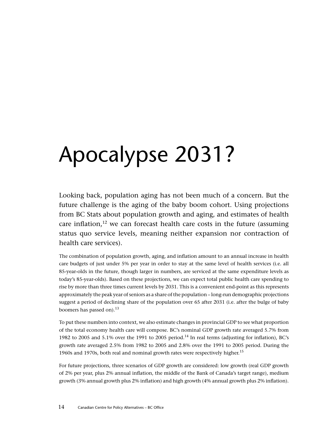# Apocalypse 2031?

Looking back, population aging has not been much of a concern. But the future challenge is the aging of the baby boom cohort. Using projections from BC Stats about population growth and aging, and estimates of health care inflation, $12$  we can forecast health care costs in the future (assuming status quo service levels, meaning neither expansion nor contraction of health care services).

The combination of population growth, aging, and inflation amount to an annual increase in health care budgets of just under 5% per year in order to stay at the same level of health services (i.e. all 85-year-olds in the future, though larger in numbers, are serviced at the same expenditure levels as today's 85-year-olds). Based on these projections, we can expect total public health care spending to rise by more than three times current levels by 2031. This is a convenient end-point as this represents approximately the peak year of seniors as a share of the population – long-run demographic projections suggest a period of declining share of the population over 65 after 2031 (i.e. after the bulge of baby boomers has passed on).<sup>13</sup>

To put these numbers into context, we also estimate changes in provincial GDP to see what proportion of the total economy health care will compose. BC's nominal GDP growth rate averaged 5.7% from 1982 to 2005 and 5.1% over the 1991 to 2005 period.<sup>14</sup> In real terms (adjusting for inflation), BC's growth rate averaged 2.5% from 1982 to 2005 and 2.8% over the 1991 to 2005 period. During the 1960s and 1970s, both real and nominal growth rates were respectively higher.<sup>15</sup>

For future projections, three scenarios of GDP growth are considered: low growth (real GDP growth of 2% per year, plus 2% annual inflation, the middle of the Bank of Canada's target range), medium growth (3% annual growth plus 2% inflation) and high growth (4% annual growth plus 2% inflation).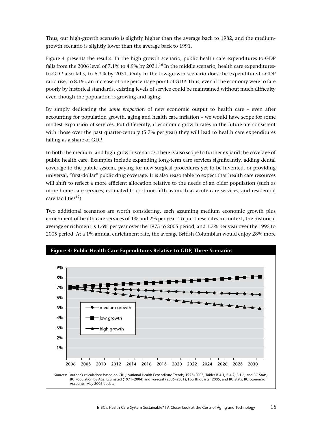Thus, our high-growth scenario is slightly higher than the average back to 1982, and the mediumgrowth scenario is slightly lower than the average back to 1991.

Figure 4 presents the results. In the high growth scenario, public health care expenditures-to-GDP falls from the 2006 level of 7.1% to 4.9% by  $2031$ .<sup>16</sup> In the middle scenario, health care expendituresto-GDP also falls, to 6.3% by 2031. Only in the low-growth scenario does the expenditure-to-GDP ratio rise, to 8.1%, an increase of one percentage point of GDP. Thus, even if the economy were to fare poorly by historical standards, existing levels of service could be maintained without much difficulty even though the population is growing and aging.

By simply dedicating the *same proportio*n of new economic output to health care – even after accounting for population growth, aging and health care inflation – we would have scope for some modest expansion of services. Put differently, if economic growth rates in the future are consistent with those over the past quarter-century (5.7% per year) they will lead to health care expenditures falling as a share of GDP.

In both the medium- and high-growth scenarios, there is also scope to further expand the coverage of public health care. Examples include expanding long-term care services significantly, adding dental coverage to the public system, paying for new surgical procedures yet to be invented, or providing universal, "first-dollar" public drug coverage. It is also reasonable to expect that health care resources will shift to reflect a more efficient allocation relative to the needs of an older population (such as more home care services, estimated to cost one-fifth as much as acute care services, and residential care facilities<sup>17</sup>).

Two additional scenarios are worth considering, each assuming medium economic growth plus enrichment of health care services of 1% and 2% per year. To put these rates in context, the historical average enrichment is 1.6% per year over the 1975 to 2005 period, and 1.3% per year over the 1995 to 2005 period. At a 1% annual enrichment rate, the average British Columbian would enjoy 28% more

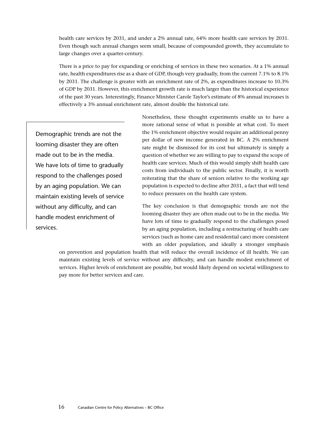health care services by 2031, and under a 2% annual rate, 64% more health care services by 2031. Even though such annual changes seem small, because of compounded growth, they accumulate to large changes over a quarter-century.

There is a price to pay for expanding or enriching of services in these two scenarios. At a 1% annual rate, health expenditures rise as a share of GDP, though very gradually, from the current 7.1% to 8.1% by 2031. The challenge is greater with an enrichment rate of 2%, as expenditures increase to 10.3% of GDP by 2031. However, this enrichment growth rate is much larger than the historical experience of the past 30 years. Interestingly, Finance Minister Carole Taylor's estimate of 8% annual increases is effectively a 3% annual enrichment rate, almost double the historical rate.

Demographic trends are not the looming disaster they are often made out to be in the media. We have lots of time to gradually respond to the challenges posed by an aging population. We can maintain existing levels of service without any difficulty, and can handle modest enrichment of services.

Nonetheless, these thought experiments enable us to have a more rational sense of what is possible at what cost. To meet the 1% enrichment objective would require an additional penny per dollar of new income generated in BC. A 2% enrichment rate might be dismissed for its cost but ultimately is simply a question of whether we are willing to pay to expand the scope of health care services. Much of this would simply shift health care costs from individuals to the public sector. Finally, it is worth reiterating that the share of seniors relative to the working age population is expected to decline after 2031, a fact that will tend to reduce pressures on the health care system.

The key conclusion is that demographic trends are not the looming disaster they are often made out to be in the media. We have lots of time to gradually respond to the challenges posed by an aging population, including a restructuring of health care services (such as home care and residential care) more consistent with an older population, and ideally a stronger emphasis

on prevention and population health that will reduce the overall incidence of ill health. We can maintain existing levels of service without any difficulty, and can handle modest enrichment of services. Higher levels of enrichment are possible, but would likely depend on societal willingness to pay more for better services and care.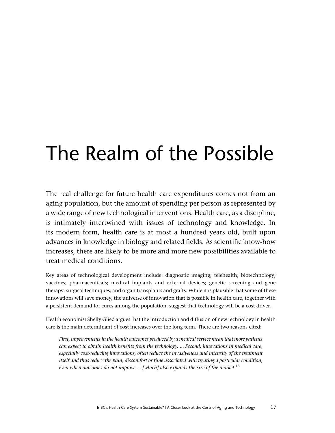## The Realm of the Possible

The real challenge for future health care expenditures comes not from an aging population, but the amount of spending per person as represented by a wide range of new technological interventions. Health care, as a discipline, is intimately intertwined with issues of technology and knowledge. In its modern form, health care is at most a hundred years old, built upon advances in knowledge in biology and related fields. As scientific know-how increases, there are likely to be more and more new possibilities available to treat medical conditions.

Key areas of technological development include: diagnostic imaging; telehealth; biotechnology; vaccines; pharmaceuticals; medical implants and external devices; genetic screening and gene therapy; surgical techniques; and organ transplants and grafts. While it is plausible that some of these innovations will save money, the universe of innovation that is possible in health care, together with a persistent demand for cures among the population, suggest that technology will be a cost driver.

Health economist Shelly Glied argues that the introduction and diffusion of new technology in health care is the main determinant of cost increases over the long term. There are two reasons cited:

*First, improvements in the health outcomes produced by a medical service mean that more patients can expect to obtain health benefits from the technology. ... Second, innovations in medical care, especially cost-reducing innovations, often reduce the invasiveness and intensity of the treatment itself and thus reduce the pain, discomfort or time associated with treating a particular condition, even when outcomes do not improve ... [which] also expands the size of the market.*<sup>18</sup>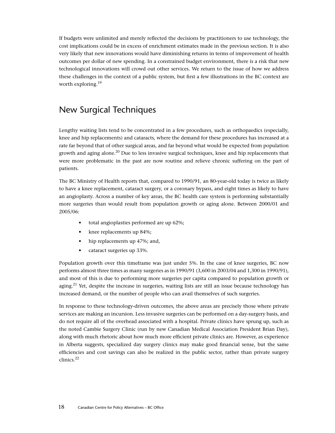If budgets were unlimited and merely reflected the decisions by practitioners to use technology, the cost implications could be in excess of enrichment estimates made in the previous section. It is also very likely that new innovations would have diminishing returns in terms of improvement of health outcomes per dollar of new spending. In a constrained budget environment, there is a risk that new technological innovations will crowd out other services. We return to the issue of how we address these challenges in the context of a public system, but first a few illustrations in the BC context are worth exploring.19

## New Surgical Techniques

Lengthy waiting lists tend to be concentrated in a few procedures, such as orthopaedics (especially, knee and hip replacements) and cataracts, where the demand for these procedures has increased at a rate far beyond that of other surgical areas, and far beyond what would be expected from population growth and aging alone.<sup>20</sup> Due to less invasive surgical techniques, knee and hip replacements that were more problematic in the past are now routine and relieve chronic suffering on the part of patients.

The BC Ministry of Health reports that, compared to 1990/91, an 80-year-old today is twice as likely to have a knee replacement, cataract surgery, or a coronary bypass, and eight times as likely to have an angioplasty. Across a number of key areas, the BC health care system is performing substantially more surgeries than would result from population growth or aging alone. Between 2000/01 and 2005/06:

- total angioplasties performed are up 62%;
- knee replacements up 84%;
- hip replacements up 47%; and,
- cataract surgeries up 33%.

Population growth over this timeframe was just under 5%. In the case of knee surgeries, BC now performs almost three times as many surgeries as in 1990/91 (3,600 in 2003/04 and 1,300 in 1990/91), and most of this is due to performing more surgeries per capita compared to population growth or aging.<sup>21</sup> Yet, despite the increase in surgeries, waiting lists are still an issue because technology has increased demand, or the number of people who can avail themselves of such surgeries.

In response to these technology-driven outcomes, the above areas are precisely those where private services are making an incursion. Less invasive surgeries can be performed on a day-surgery basis, and do not require all of the overhead associated with a hospital. Private clinics have sprung up, such as the noted Cambie Surgery Clinic (run by new Canadian Medical Association President Brian Day), along with much rhetoric about how much more efficient private clinics are. However, as experience in Alberta suggests, specialized day surgery clinics may make good financial sense, but the same efficiencies and cost savings can also be realized in the public sector, rather than private surgery clinics.22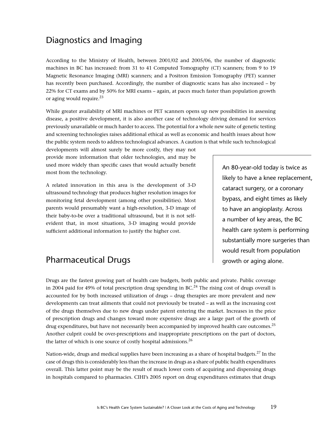## Diagnostics and Imaging

According to the Ministry of Health, between 2001/02 and 2005/06, the number of diagnostic machines in BC has increased: from 31 to 41 Computed Tomography (CT) scanners; from 9 to 19 Magnetic Resonance Imaging (MRI) scanners; and a Positron Emission Tomography (PET) scanner has recently been purchased. Accordingly, the number of diagnostic scans has also increased – by 22% for CT exams and by 50% for MRI exams – again, at paces much faster than population growth or aging would require.<sup>23</sup>

While greater availability of MRI machines or PET scanners opens up new possibilities in assessing disease, a positive development, it is also another case of technology driving demand for services previously unavailable or much harder to access. The potential for a whole new suite of genetic testing and screening technologies raises additional ethical as well as economic and health issues about how the public system needs to address technological advances. A caution is that while such technological

developments will almost surely be more costly, they may not provide more information that older technologies, and may be used more widely than specific cases that would actually benefit most from the technology.

A related innovation in this area is the development of 3-D ultrasound technology that produces higher resolution images for monitoring fetal development (among other possibilities). Most parents would presumably want a high-resolution, 3-D image of their baby-to-be over a traditional ultrasound, but it is not selfevident that, in most situations, 3-D imaging would provide sufficient additional information to justify the higher cost.

An 80-year-old today is twice as likely to have a knee replacement, cataract surgery, or a coronary bypass, and eight times as likely to have an angioplasty. Across a number of key areas, the BC health care system is performing substantially more surgeries than would result from population growth or aging alone.

## Pharmaceutical Drugs

Drugs are the fastest growing part of health care budgets, both public and private. Public coverage in 2004 paid for 49% of total prescription drug spending in  $BC<sup>24</sup>$  The rising cost of drugs overall is accounted for by both increased utilization of drugs – drug therapies are more prevalent and new developments can treat ailments that could not previously be treated – as well as the increasing cost of the drugs themselves due to new drugs under patent entering the market. Increases in the price of prescription drugs and changes toward more expensive drugs are a large part of the growth of drug expenditures, but have not necessarily been accompanied by improved health care outcomes.<sup>25</sup> Another culprit could be over-prescriptions and inappropriate prescriptions on the part of doctors, the latter of which is one source of costly hospital admissions.26

Nation-wide, drugs and medical supplies have been increasing as a share of hospital budgets.27 In the case of drugs this is considerably less than the increase in drugs as a share of public health expenditures overall. This latter point may be the result of much lower costs of acquiring and dispensing drugs in hospitals compared to pharmacies. CIHI's 2005 report on drug expenditures estimates that drugs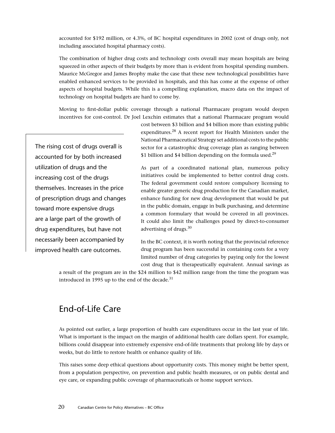accounted for \$192 million, or 4.3%, of BC hospital expenditures in 2002 (cost of drugs only, not including associated hospital pharmacy costs).

The combination of higher drug costs and technology costs overall may mean hospitals are being squeezed in other aspects of their budgets by more than is evident from hospital spending numbers. Maurice McGregor and James Brophy make the case that these new technological possibilities have enabled enhanced services to be provided in hospitals, and this has come at the expense of other aspects of hospital budgets. While this is a compelling explanation, macro data on the impact of technology on hospital budgets are hard to come by.

Moving to first-dollar public coverage through a national Pharmacare program would deepen incentives for cost-control. Dr Joel Lexchin estimates that a national Pharmacare program would

The rising cost of drugs overall is accounted for by both increased utilization of drugs and the increasing cost of the drugs themselves. Increases in the price of prescription drugs and changes toward more expensive drugs are a large part of the growth of drug expenditures, but have not necessarily been accompanied by improved health care outcomes.

cost between \$3 billion and \$4 billion more than existing public expenditures.28 A recent report for Health Ministers under the National Pharmaceutical Strategy set additional costs to the public sector for a catastrophic drug coverage plan as ranging between \$1 billion and \$4 billion depending on the formula used.<sup>29</sup>

As part of a coordinated national plan, numerous policy initiatives could be implemented to better control drug costs. The federal government could restore compulsory licensing to enable greater generic drug production for the Canadian market, enhance funding for new drug development that would be put in the public domain, engage in bulk purchasing, and determine a common formulary that would be covered in all provinces. It could also limit the challenges posed by direct-to-consumer advertising of drugs.30

In the BC context, it is worth noting that the provincial reference drug program has been successful in containing costs for a very limited number of drug categories by paying only for the lowest cost drug that is therapeutically equivalent. Annual savings as

a result of the program are in the \$24 million to \$42 million range from the time the program was introduced in 1995 up to the end of the decade. $31$ 

## End-of-Life Care

As pointed out earlier, a large proportion of health care expenditures occur in the last year of life. What is important is the impact on the margin of additional health care dollars spent. For example, billions could disappear into extremely expensive end-of-life treatments that prolong life by days or weeks, but do little to restore health or enhance quality of life.

This raises some deep ethical questions about opportunity costs. This money might be better spent, from a population perspective, on prevention and public health measures, or on public dental and eye care, or expanding public coverage of pharmaceuticals or home support services.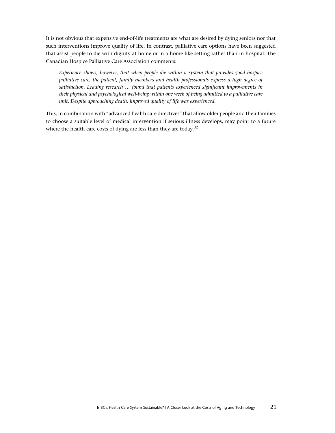It is not obvious that expensive end-of-life treatments are what are desired by dying seniors nor that such interventions improve quality of life. In contrast, palliative care options have been suggested that assist people to die with dignity at home or in a home-like setting rather than in hospital. The Canadian Hospice Palliative Care Association comments:

*Experience shows, however, that when people die within a system that provides good hospice palliative care, the patient, family members and health professionals express a high degree of satisfaction. Leading research … found that patients experienced significant improvements in their physical and psychological well-being within one week of being admitted to a palliative care unit. Despite approaching death, improved quality of life was experienced.*

This, in combination with "advanced health care directives" that allow older people and their families to choose a suitable level of medical intervention if serious illness develops, may point to a future where the health care costs of dying are less than they are today.<sup>32</sup>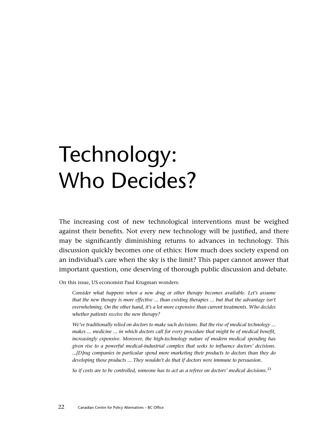# Technology: Who Decides?

The increasing cost of new technological interventions must be weighed against their benefits. Not every new technology will be justified, and there may be significantly diminishing returns to advances in technology. This discussion quickly becomes one of ethics: How much does society expend on an individual's care when the sky is the limit? This paper cannot answer that important question, one deserving of thorough public discussion and debate.

On this issue, US economist Paul Krugman wonders:

*Consider what happens when a new drug or other therapy becomes available. Let's assume that the new therapy is more effective ... than existing therapies ... but that the advantage isn't overwhelming. On the other hand, it's a lot more expensive than current treatments. Who decides whether patients receive the new therapy?* 

*We've traditionally relied on doctors to make such decisions. But the rise of medical technology ... makes ... medicine ... in which doctors call for every procedure that might be of medical benefit, increasingly expensive. Moreover, the high-technology nature of modern medical spending has given rise to a powerful medical-industrial complex that seeks to influence doctors' decisions. ...[D]rug companies in particular spend more marketing their products to doctors than they do developing those products ... They wouldn't do that if doctors were immune to persuasion.* 

*So if costs are to be controlled, someone has to act as a referee on doctors' medical decisions.*<sup>33</sup>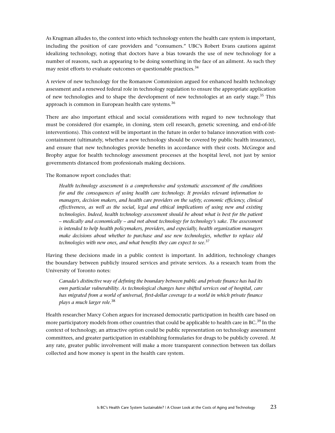As Krugman alludes to, the context into which technology enters the health care system is important, including the position of care providers and "consumers." UBC's Robert Evans cautions against idealizing technology, noting that doctors have a bias towards the use of new technology for a number of reasons, such as appearing to be doing something in the face of an ailment. As such they may resist efforts to evaluate outcomes or questionable practices.<sup>34</sup>

A review of new technology for the Romanow Commission argued for enhanced health technology assessment and a renewed federal role in technology regulation to ensure the appropriate application of new technologies and to shape the development of new technologies at an early stage.<sup>35</sup> This approach is common in European health care systems.<sup>36</sup>

There are also important ethical and social considerations with regard to new technology that must be considered (for example, in cloning, stem cell research, genetic screening, and end-of-life interventions). This context will be important in the future in order to balance innovation with costcontainment (ultimately, whether a new technology should be covered by public health insurance), and ensure that new technologies provide benefits in accordance with their costs. McGregor and Brophy argue for health technology assessment processes at the hospital level, not just by senior governments distanced from professionals making decisions.

The Romanow report concludes that:

*Health technology assessment is a comprehensive and systematic assessment of the conditions for and the consequences of using health care technology. It provides relevant information to managers, decision makers, and health care providers on the safety, economic efficiency, clinical effectiveness, as well as the social, legal and ethical implications of using new and existing*  technologies. Indeed, health technology assessment should be about what is best for the patient *– medically and economically – and not about technology for technology's sake. The assessment is intended to help health policymakers, providers, and especially, health organization managers make decisions about whether to purchase and use new technologies, whether to replace old technologies with new ones, and what benefits they can expect to see.*<sup>37</sup>

Having these decisions made in a public context is important. In addition, technology changes the boundary between publicly insured services and private services. As a research team from the University of Toronto notes:

*Canada's distinctive way of defining the boundary between public and private finance has had its own particular vulnerability. As technological changes have shifted services out of hospital, care has migrated from a world of universal, first-dollar coverage to a world in which private finance plays a much larger role.*<sup>38</sup>

Health researcher Marcy Cohen argues for increased democratic participation in health care based on more participatory models from other countries that could be applicable to health care in BC.<sup>39</sup> In the context of technology, an attractive option could be public representation on technology assessment committees, and greater participation in establishing formularies for drugs to be publicly covered. At any rate, greater public involvement will make a more transparent connection between tax dollars collected and how money is spent in the health care system.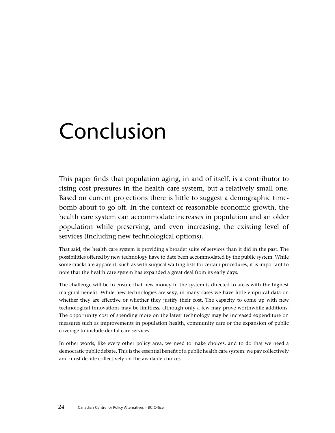# Conclusion

This paper finds that population aging, in and of itself, is a contributor to rising cost pressures in the health care system, but a relatively small one. Based on current projections there is little to suggest a demographic timebomb about to go off. In the context of reasonable economic growth, the health care system can accommodate increases in population and an older population while preserving, and even increasing, the existing level of services (including new technological options).

That said, the health care system is providing a broader suite of services than it did in the past. The possibilities offered by new technology have to date been accommodated by the public system. While some cracks are apparent, such as with surgical waiting lists for certain procedures, it is important to note that the health care system has expanded a great deal from its early days.

The challenge will be to ensure that new money in the system is directed to areas with the highest marginal benefit. While new technologies are sexy, in many cases we have little empirical data on whether they are effective or whether they justify their cost. The capacity to come up with new technological innovations may be limitless, although only a few may prove worthwhile additions. The opportunity cost of spending more on the latest technology may be increased expenditure on measures such as improvements in population health, community care or the expansion of public coverage to include dental care services.

In other words, like every other policy area, we need to make choices, and to do that we need a democratic public debate. This is the essential benefit of a public health care system: we pay collectively and must decide collectively on the available choices.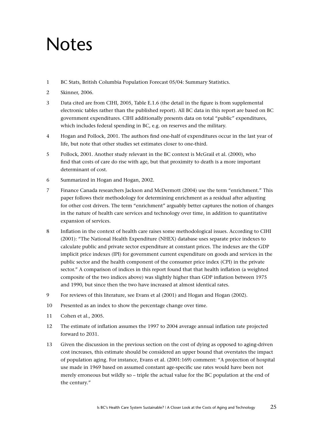## Notes

- 1 BC Stats, British Columbia Population Forecast 05/04: Summary Statistics.
- 2 Skinner, 2006.
- 3 Data cited are from CIHI, 2005, Table E.1.6 (the detail in the figure is from supplemental electronic tables rather than the published report). All BC data in this report are based on BC government expenditures. CIHI additionally presents data on total "public" expenditures, which includes federal spending in BC, e.g. on reserves and the military.
- 4 Hogan and Pollock, 2001. The authors find one-half of expenditures occur in the last year of life, but note that other studies set estimates closer to one-third.
- 5 Pollock, 2001. Another study relevant in the BC context is McGrail et al. (2000), who find that costs of care do rise with age, but that proximity to death is a more important determinant of cost.
- 6 Summarized in Hogan and Hogan, 2002.
- 7 Finance Canada researchers Jackson and McDermott (2004) use the term "enrichment." This paper follows their methodology for determining enrichment as a residual after adjusting for other cost drivers. The term "enrichment" arguably better captures the notion of changes in the nature of health care services and technology over time, in addition to quantitative expansion of services.
- 8 Inflation in the context of health care raises some methodological issues. According to CIHI (2001): "The National Health Expenditure (NHEX) database uses separate price indexes to calculate public and private sector expenditure at constant prices. The indexes are the GDP implicit price indexes (IPI) for government current expenditure on goods and services in the public sector and the health component of the consumer price index (CPI) in the private sector." A comparison of indices in this report found that that health inflation (a weighted composite of the two indices above) was slightly higher than GDP inflation between 1975 and 1990, but since then the two have increased at almost identical rates.
- 9 For reviews of this literature, see Evans et al (2001) and Hogan and Hogan (2002).
- 10 Presented as an index to show the percentage change over time.
- 11 Cohen et al., 2005.
- 12 The estimate of inflation assumes the 1997 to 2004 average annual inflation rate projected forward to 2031.
- 13 Given the discussion in the previous section on the cost of dying as opposed to aging-driven cost increases, this estimate should be considered an upper bound that overstates the impact of population aging. For instance, Evans et al. (2001:169) comment: "A projection of hospital use made in 1969 based on assumed constant age-specific use rates would have been not merely erroneous but wildly so – triple the actual value for the BC population at the end of the century."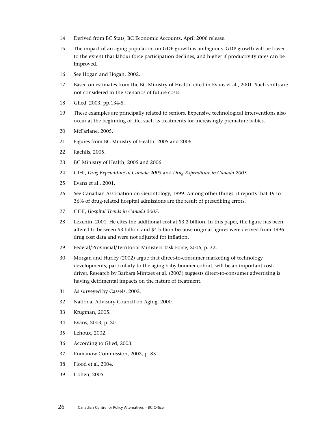- 14 Derived from BC Stats, BC Economic Accounts, April 2006 release.
- 15 The impact of an aging population on GDP growth is ambiguous. GDP growth will be lower to the extent that labour force participation declines, and higher if productivity rates can be improved.
- 16 See Hogan and Hogan, 2002.
- 17 Based on estimates from the BC Ministry of Health, cited in Evans et al., 2001. Such shifts are not considered in the scenarios of future costs.
- 18 Glied, 2003, pp.134-5.
- 19 These examples are principally related to seniors. Expensive technological interventions also occur at the beginning of life, such as treatments for increasingly premature babies.
- 20 McFarlane, 2005.
- 21 Figures from BC Ministry of Health, 2005 and 2006.
- 22 Rachlis, 2005.
- 23 BC Ministry of Health, 2005 and 2006.
- 24 CIHI, *Drug Expenditure in Canada 2003* and *Drug Expenditure in Canada 2005*.
- 25 Evans et al., 2001.
- 26 See Canadian Association on Gerontology, 1999. Among other things, it reports that 19 to 36% of drug-related hospital admissions are the result of prescribing errors.
- 27 CIHI, *Hospital Trends in Canada 2005*.
- 28 Lexchin, 2001. He cites the additional cost at \$3.2 billion. In this paper, the figure has been altered to between \$3 billion and \$4 billion because original figures were derived from 1996 drug cost data and were not adjusted for inflation.
- 29 Federal/Provincial/Territorial Ministers Task Force, 2006, p. 32.
- 30 Morgan and Hurley (2002) argue that direct-to-consumer marketing of technology developments, particularly to the aging baby boomer cohort, will be an important costdriver. Research by Barbara Mintzes et al. (2003) suggests direct-to-consumer advertising is having detrimental impacts on the nature of treatment.
- 31 As surveyed by Cassels, 2002.
- 32 National Advisory Council on Aging, 2000.
- 33 Krugman, 2005.
- 34 Evans, 2003, p. 20.
- 35 Lehoux, 2002.
- 36 According to Glied, 2003.
- 37 Romanow Commission, 2002, p. 83.
- 38 Flood et al, 2004.
- 39 Cohen, 2005.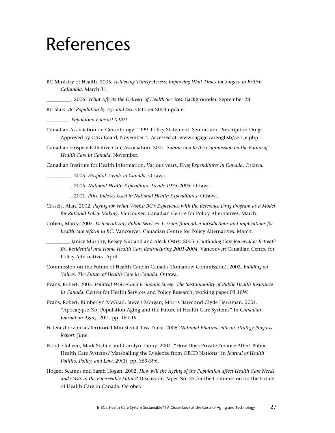## References

BC Ministry of Health. 2005. *Achieving Timely Access: Improving Wait Times for Surgery in British Columbia*. March 31.

\_\_\_\_\_\_\_\_\_\_. 2006. *What Affects the Delivery of Health Services*. Backgrounder, September 28.

BC Stats. *BC Population by Age and Sex.* October 2004 update.

\_\_\_\_\_\_\_\_\_. *Population Forecast 04/01*.

- Canadian Association on Gerontology. 1999. Policy Statement: Seniors and Prescription Drugs. Approved by CAG Board, November 4. Accessed at: www.cagagc.ca/english/551\_e.php
- Canadian Hospice Palliative Care Association. 2001. *Submission to the Commission on the Future of Health Care in Canada*. November.

Canadian Institute for Health Information. Various years. *Drug Expenditures in Canada*. Ottawa.

\_\_\_\_\_\_\_\_\_\_. 2005. *Hospital Trends in Canada*. Ottawa.

\_\_\_\_\_\_\_\_\_\_. 2005. *National Health Expenditure Trends 1975-2005*. Ottawa.

- \_\_\_\_\_\_\_\_\_\_. 2001. *Price Indexes Used in National Health Expenditures*. Ottawa.
- Cassels, Alan. 2002. *Paying for What Works: BC's Experience with the Reference Drug Program as a Model for Rational Policy Making*. Vancouver: Canadian Centre for Policy Alternatives. March.
- Cohen, Marcy. 2005. *Democratizing Public Services: Lessons from other jurisdictions and implications for health care reform in BC*. Vancouver: Canadian Centre for Policy Alternatives. March.

\_\_\_\_\_\_\_\_\_, Janice Murphy, Kelsey Nutland and Aleck Ostry. 2005. *Continuing Care Renewal or Retreat? BC Residential and Home Health Care Restructuring 2001-2004*. Vancouver: Canadian Centre for Policy Alternatives. April.

- Commission on the Future of Health Care in Canada (Romanow Commission). 2002. *Building on Values: The Future of Health Care in Canada*. Ottawa.
- Evans, Robert. 2003. *Political Wolves and Economic Sheep: The Sustainability of Public Health Insurance in Canada*. Center for Health Services and Policy Research, working paper 03:16W.
- Evans, Robert, Kimberlyn McGrail, Steven Morgan, Morris Barer and Clyde Hertzman. 2001. "Apocalypse No: Population Aging and the Future of Health Care Systems" In *Canadian Journal on Aging*, 20:1, pp. 160-191.
- Federal/Provincial/Territorial Ministerial Task Force. 2006. *National Pharmaceuticals Strategy Progress Report*. June.
- Flood, Colleen, Mark Stabile and Carolyn Tuohy. 2004. "How Does Private Finance Affect Public Health Care Systems? Marshalling the Evidence from OECD Nations" in *Journal of Health Politics, Policy, and Law*, 29(3), pp. 359-396.
- Hogan, Seamus and Sarah Hogan. 2002. *How will the Ageing of the Population affect Health Care Needs and Costs in the Foreseeable Future?* Discussion Paper No. 25 for the Commission on the Future of Health Care in Canada. October.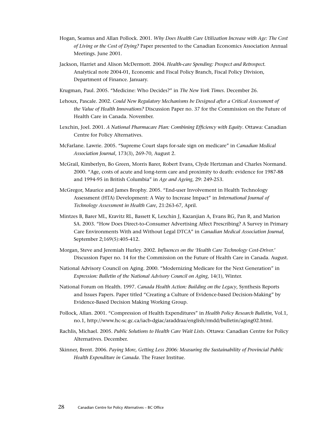- Hogan, Seamus and Allan Pollock. 2001. *Why Does Health Care Utilization Increase with Age: The Cost of Living or the Cost of Dying?* Paper presented to the Canadian Economics Association Annual Meetings. June 2001.
- Jackson, Harriet and Alison McDermott. 2004. *Health-care Spending: Prospect and Retrospect.* Analytical note 2004-01, Economic and Fiscal Policy Branch, Fiscal Policy Division, Department of Finance. January.
- Krugman, Paul. 2005. "Medicine: Who Decides?" in *The New York Times.* December 26.
- Lehoux, Pascale. 2002. *Could New Regulatory Mechanisms be Designed after a Critical Assessment of the Value of Health Innovations?* Discussion Paper no. 37 for the Commission on the Future of Health Care in Canada. November.
- Lexchin, Joel. 2001. *A National Pharmacare Plan: Combining Efficiency with Equity*. Ottawa: Canadian Centre for Policy Alternatives.
- McFarlane. Lawrie. 2005. "Supreme Court slaps for-sale sign on medicare" in *Canadian Medical Association Journal*, 173(3), 269-70, August 2.
- McGrail, Kimberlyn, Bo Green, Morris Barer, Robert Evans, Clyde Hertzman and Charles Normand. 2000. "Age, costs of acute and long-term care and proximity to death: evidence for 1987-88 and 1994-95 in British Columbia" in *Age and Ageing*, 29: 249-253.
- McGregor, Maurice and James Brophy. 2005. "End-user Involvement in Health Technology Assessment (HTA) Development: A Way to Increase Impact" in *International Journal of Technology Assessment in Health Care*, 21:263-67, April.
- Mintzes B, Barer ML, Kravitz RL, Bassett K, Lexchin J, Kazanjian A, Evans RG, Pan R, and Marion SA. 2003. "How Does Direct-to-Consumer Advertising Affect Prescribing? A Survey in Primary Care Environments With and Without Legal DTCA" in *Canadian Medical Association Journal,* September 2;169(5):405-412.
- Morgan, Steve and Jeremiah Hurley. 2002. *Influences on the 'Health Care Technology Cost-Driver.*' Discussion Paper no. 14 for the Commission on the Future of Health Care in Canada. August.
- National Advisory Council on Aging. 2000. "Modernizing Medicare for the Next Generation" in *Expression: Bulletin of the National Advisory Council on Aging*, 14(1), Winter.
- National Forum on Health. 1997. *Canada Health Action: Building on the Legacy*, Synthesis Reports and Issues Papers. Paper titled "Creating a Culture of Evidence-based Decision-Making" by Evidence-Based Decision Making Working Group.
- Pollock, Allan. 2001. "Compression of Health Expenditures" in *Health Policy Research Bulletin*, Vol.1, no.1, http://www.hc-sc.gc.ca/iacb-dgiac/araddraa/english/rmdd/bulletin/aging02.html.
- Rachlis, Michael. 2005. *Public Solutions to Health Care Wait Lists*. Ottawa: Canadian Centre for Policy Alternatives. December.
- Skinner, Brent. 2006. *Paying More, Getting Less 2006: Measuring the Sustainability of Provincial Public Health Expenditure in Canada*. The Fraser Institue.